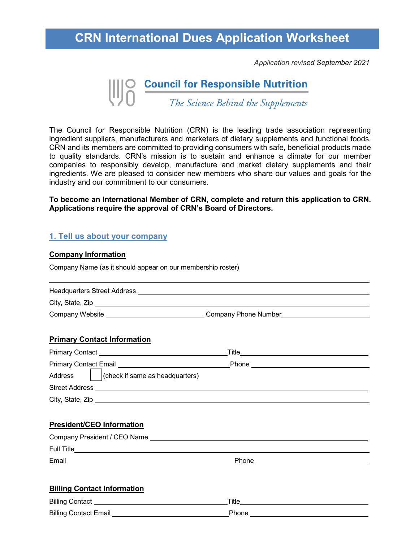## **CRN International Dues Application Worksheet**

*Application revised September 2021*



The Council for Responsible Nutrition (CRN) is the leading trade association representing ingredient suppliers, manufacturers and marketers of dietary supplements and functional foods. CRN and its members are committed to providing consumers with safe, beneficial products made to quality standards. CRN's mission is to sustain and enhance a climate for our member companies to responsibly develop, manufacture and market dietary supplements and their ingredients. We are pleased to consider new members who share our values and goals for the industry and our commitment to our consumers.

**To become an International Member of CRN, complete and return this application to CRN. Applications require the approval of CRN's Board of Directors.**

#### **1. Tell us about your company**

#### **Company Information**

Company Name (as it should appear on our membership roster)

| <b>Headquarters Street Address</b> |                      |
|------------------------------------|----------------------|
| City, State, Zip                   |                      |
| Company Website                    | Company Phone Number |

#### **Primary Contact Information**

| <b>Primary Contact</b>                         | Title |
|------------------------------------------------|-------|
| <b>Primary Contact Email</b>                   | Phone |
| $ $ (check if same as headquarters)<br>Address |       |
| <b>Street Address</b>                          |       |
| City, State, Zip                               |       |

#### **President/CEO Information**

| Company President / CEO Name |       |  |
|------------------------------|-------|--|
| <b>Full Title</b>            |       |  |
| Email                        | Phone |  |

#### **Billing Contact Information**

| <b>Billing Contact</b>       | Title |
|------------------------------|-------|
| <b>Billing Contact Email</b> | Phone |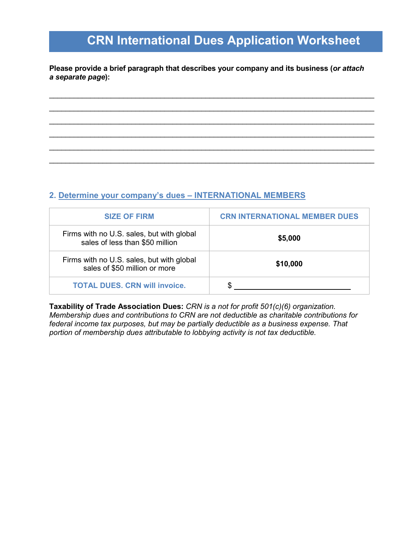# **CRN International Dues Application Worksheet**

**Please provide a brief paragraph that describes your company and its business (***or attach a separate page***):**

\_\_\_\_\_\_\_\_\_\_\_\_\_\_\_\_\_\_\_\_\_\_\_\_\_\_\_\_\_\_\_\_\_\_\_\_\_\_\_\_\_\_\_\_\_\_\_\_\_\_\_\_\_\_\_\_\_\_\_\_\_\_\_\_\_\_\_\_\_\_\_\_\_\_\_\_\_\_\_  $\overline{\phantom{a}}$  , and the contribution of the contribution of the contribution of the contribution of the contribution of the contribution of the contribution of the contribution of the contribution of the contribution of the \_\_\_\_\_\_\_\_\_\_\_\_\_\_\_\_\_\_\_\_\_\_\_\_\_\_\_\_\_\_\_\_\_\_\_\_\_\_\_\_\_\_\_\_\_\_\_\_\_\_\_\_\_\_\_\_\_\_\_\_\_\_\_\_\_\_\_\_\_\_\_\_\_\_\_\_\_\_\_ \_\_\_\_\_\_\_\_\_\_\_\_\_\_\_\_\_\_\_\_\_\_\_\_\_\_\_\_\_\_\_\_\_\_\_\_\_\_\_\_\_\_\_\_\_\_\_\_\_\_\_\_\_\_\_\_\_\_\_\_\_\_\_\_\_\_\_\_\_\_\_\_\_\_\_\_\_\_\_  $\overline{\phantom{a}}$  , and the contribution of the contribution of the contribution of the contribution of the contribution of the contribution of the contribution of the contribution of the contribution of the contribution of the \_\_\_\_\_\_\_\_\_\_\_\_\_\_\_\_\_\_\_\_\_\_\_\_\_\_\_\_\_\_\_\_\_\_\_\_\_\_\_\_\_\_\_\_\_\_\_\_\_\_\_\_\_\_\_\_\_\_\_\_\_\_\_\_\_\_\_\_\_\_\_\_\_\_\_\_\_\_\_

### **2. Determine your company's dues – INTERNATIONAL MEMBERS**

| <b>SIZE OF FIRM</b>                                                          | <b>CRN INTERNATIONAL MEMBER DUES</b> |  |
|------------------------------------------------------------------------------|--------------------------------------|--|
| Firms with no U.S. sales, but with global<br>sales of less than \$50 million | \$5,000                              |  |
| Firms with no U.S. sales, but with global<br>sales of \$50 million or more   | \$10,000                             |  |
| <b>TOTAL DUES, CRN will invoice.</b>                                         |                                      |  |

**Taxability of Trade Association Dues:** *CRN is a not for profit 501(c)(6) organization. Membership dues and contributions to CRN are not deductible as charitable contributions for federal income tax purposes, but may be partially deductible as a business expense. That portion of membership dues attributable to lobbying activity is not tax deductible.*